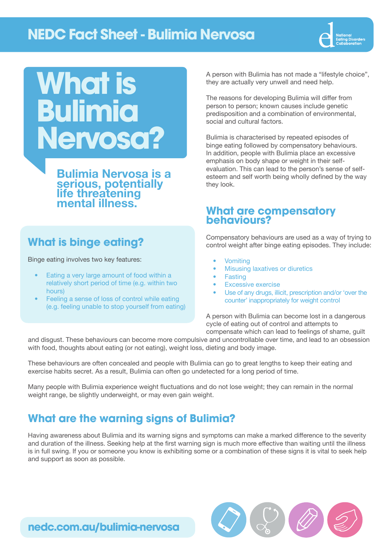## **NEDC Fact Sheet - Bulimia Nervosa**



# **What is Bulimia Nervosa?**

Bulimia Nervosa is a serious, potentially life threatening mental illness.

## **What is binge eating?**

Binge eating involves two key features:

- Eating a very large amount of food within a relatively short period of time (e.g. within two hours)
- Feeling a sense of loss of control while eating (e.g. feeling unable to stop yourself from eating)

A person with Bulimia has not made a "lifestyle choice", they are actually very unwell and need help.

The reasons for developing Bulimia will differ from person to person; known causes include genetic predisposition and a combination of environmental, social and cultural factors.

Bulimia is characterised by repeated episodes of binge eating followed by compensatory behaviours. In addition, people with Bulimia place an excessive emphasis on body shape or weight in their selfevaluation. This can lead to the person's sense of selfesteem and self worth being wholly defined by the way they look.

### **What are compensatory behaviours?**

Compensatory behaviours are used as a way of trying to control weight after binge eating episodes. They include:

- **Vomiting**
- **Misusing laxatives or diuretics**
- **Fasting**
- Excessive exercise
- Use of any drugs, illicit, prescription and/or 'over the counter' inappropriately for weight control

A person with Bulimia can become lost in a dangerous cycle of eating out of control and attempts to compensate which can lead to feelings of shame, guilt

and disgust. These behaviours can become more compulsive and uncontrollable over time, and lead to an obsession with food, thoughts about eating (or not eating), weight loss, dieting and body image.

These behaviours are often concealed and people with Bulimia can go to great lengths to keep their eating and exercise habits secret. As a result, Bulimia can often go undetected for a long period of time.

Many people with Bulimia experience weight fluctuations and do not lose weight; they can remain in the normal weight range, be slightly underweight, or may even gain weight.

## **What are the warning signs of Bulimia?**

Having awareness about Bulimia and its warning signs and symptoms can make a marked difference to the severity and duration of the illness. Seeking help at the first warning sign is much more effective than waiting until the illness is in full swing. If you or someone you know is exhibiting some or a combination of these signs it is vital to seek help and support as soon as possible.



**[nedc.com.au/bulimia-nervosa](http://www.nedc.com.au/bulimia-nervosa)**